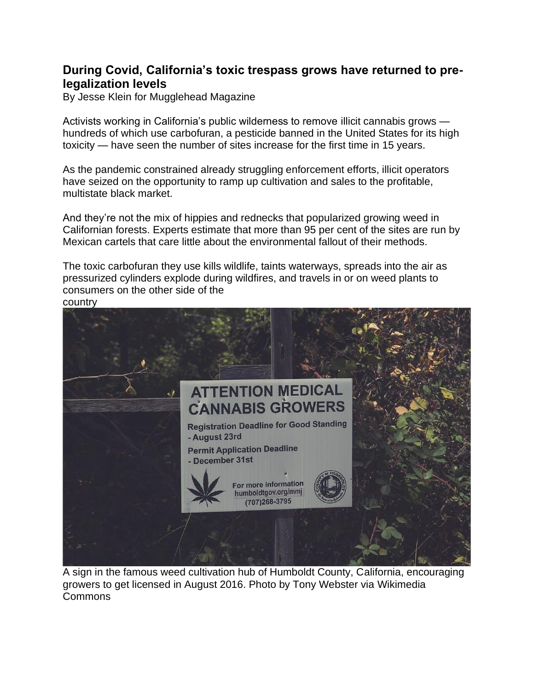# **During Covid, California's toxic trespass grows have returned to prelegalization levels**

By [Jesse Klein](https://mugglehead.com/author/jessek/) for Mugglehead Magazine

Activists working in California's public wilderness to remove illicit cannabis grows hundreds of which use carbofuran, a pesticide banned in the United States for its high toxicity — have seen the number of sites increase for the first time in 15 years.

As the pandemic constrained already struggling enforcement efforts, illicit operators have seized on the opportunity to ramp up cultivation and sales to the profitable, multistate black market.

And they're not the [mix of hippies and rednecks](https://www.vice.com/en/article/jmbpvy/the-us-weed-growing-town-dreading-weed-legalisation) that popularized growing weed in Californian forests. Experts estimate that more than 95 per cent of the sites are run by Mexican cartels that care little about the environmental fallout of their methods.

The toxic carbofuran they use kills wildlife, taints waterways, spreads into the air as pressurized cylinders explode during wildfires, and travels in or on weed plants to consumers on the other side of the

country



A sign in the famous weed cultivation hub of Humboldt County, California, encouraging growers to get licensed in August 2016. Photo by Tony Webster via [Wikimedia](https://creativecommons.org/licenses/by-sa/2.0/deed.en)  [Commons](https://creativecommons.org/licenses/by-sa/2.0/deed.en)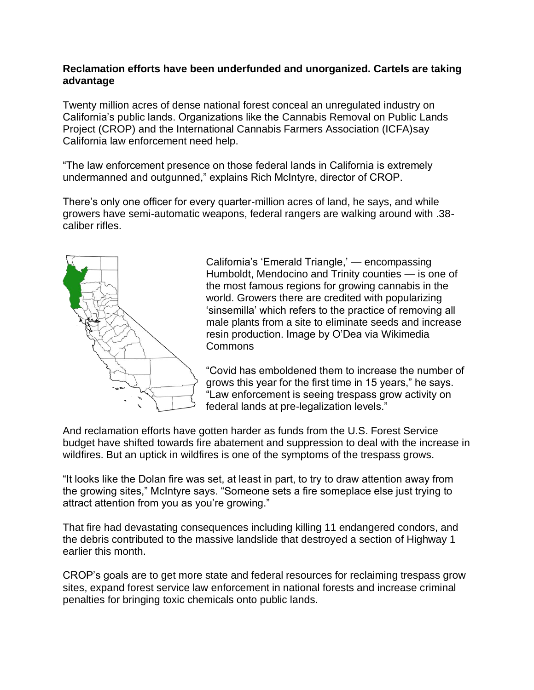## **Reclamation efforts have been underfunded and unorganized. Cartels are taking advantage**

Twenty million acres of dense national forest conceal an unregulated industry on California's public lands. Organizations like the [Cannabis Removal on Public](https://www.cropproject.org/) Lands [Project \(CROP\)](https://www.cropproject.org/) and the [International Cannabis Farmers Association \(ICFA\)s](https://www.icfa.farm/)ay California law enforcement need help.

"The law enforcement presence on those federal lands in California is extremely undermanned and outgunned," explains Rich McIntyre, director of CROP.

There's only one officer for every quarter-million acres of land, he says, and while growers have semi-automatic weapons, federal rangers are walking around with .38 caliber rifles.



California's 'Emerald Triangle,' — encompassing Humboldt, Mendocino and Trinity counties — is one of the most famous regions for growing cannabis in the world. Growers there are credited with popularizing 'sinsemilla' which refers to the practice of removing all male plants from a site to eliminate seeds and increase resin production. Image by O'Dea via [Wikimedia](https://creativecommons.org/licenses/by-sa/4.0/deed.en)  [Commons](https://creativecommons.org/licenses/by-sa/4.0/deed.en)

"Covid has emboldened them to increase the number of grows this year for the first time in 15 years," he says. "Law enforcement is seeing trespass grow activity on federal lands at pre-legalization levels."

And reclamation efforts have gotten harder as funds from the U.S. Forest Service budget have shifted towards fire abatement and suppression to deal with the increase in wildfires. But an uptick in wildfires is one of the symptoms of the trespass grows.

"It looks like the Dolan fire was set, at least in part, to try to draw attention away from the growing sites," McIntyre says. "Someone sets a fire someplace else just trying to attract attention from you as you're growing."

That fire had devastating consequences including killing 11 endangered condors, and the debris contributed to the massive landslide that destroyed a section of Highway 1 earlier this month.

[CROP's goals](https://www.cropproject.org/) are to get more state and federal resources for reclaiming trespass grow sites, expand forest service law enforcement in national forests and increase criminal penalties for bringing toxic chemicals onto public lands.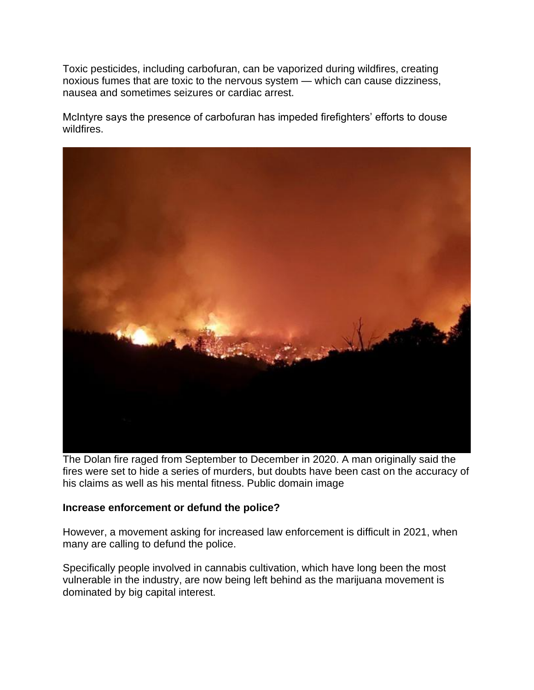Toxic pesticides, including carbofuran, can be vaporized during wildfires, creating noxious fumes that are toxic to the nervous system — which can cause dizziness, nausea and sometimes seizures or cardiac arrest.

McIntyre says the presence of carbofuran has impeded firefighters' efforts to douse wildfires.



The Dolan fire raged from September to December in 2020. A man originally said the fires were set to hide a series of murders, but doubts have been cast on the accuracy of his claims as well as his mental fitness. Public domain image

#### **Increase enforcement or defund the police?**

However, a movement asking for increased law enforcement is difficult in 2021, when many are calling to defund the police.

Specifically people involved in cannabis cultivation, which have long been the most vulnerable in the industry, are now being left behind as the marijuana movement is dominated by big capital interest.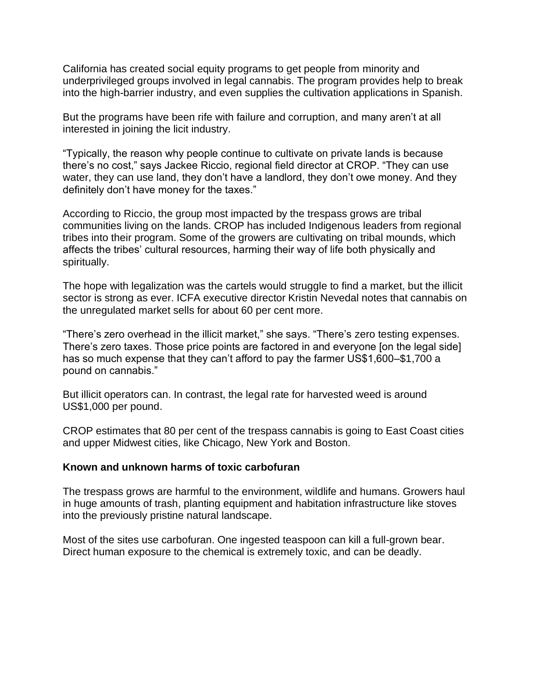California has created social equity programs to get people from minority and underprivileged groups involved in legal cannabis. The program provides help to break into the high-barrier industry, and even supplies the cultivation applications in Spanish.

But the programs have been rife with failure and corruption, and many aren't at all interested in joining the licit industry.

"Typically, the reason why people continue to cultivate on private lands is because there's no cost," says Jackee Riccio, regional field director at CROP. "They can use water, they can use land, they don't have a landlord, they don't owe money. And they definitely don't have money for the taxes."

According to Riccio, the group most impacted by the trespass grows are tribal communities living on the lands. CROP has included Indigenous leaders from regional tribes into their program. Some of the growers are cultivating on tribal mounds, which affects the tribes' cultural resources, harming their way of life both physically and spiritually.

The hope with legalization was the cartels would struggle to find a market, but the illicit sector is strong as ever. ICFA executive director Kristin Nevedal notes that cannabis on the unregulated market sells for about 60 per cent more.

"There's zero overhead in the illicit market," she says. "There's zero testing expenses. There's zero taxes. Those price points are factored in and everyone [on the legal side] has so much expense that they can't afford to pay the farmer US\$1,600–\$1,700 a pound on cannabis."

But illicit operators can. In contrast, the legal rate for harvested weed is around US\$1,000 per pound.

CROP estimates that 80 per cent of the trespass cannabis is going to East Coast cities and upper Midwest cities, like Chicago, New York and Boston.

#### **Known and unknown harms of toxic carbofuran**

The trespass grows are harmful to the environment, wildlife and humans. Growers haul in huge amounts of trash, planting equipment and habitation infrastructure like stoves into the previously pristine natural landscape.

Most of the sites use carbofuran. One ingested teaspoon can kill a full-grown bear. Direct human exposure to the chemical is extremely toxic, and [can be deadly.](https://pubmed.ncbi.nlm.nih.gov/1545210/)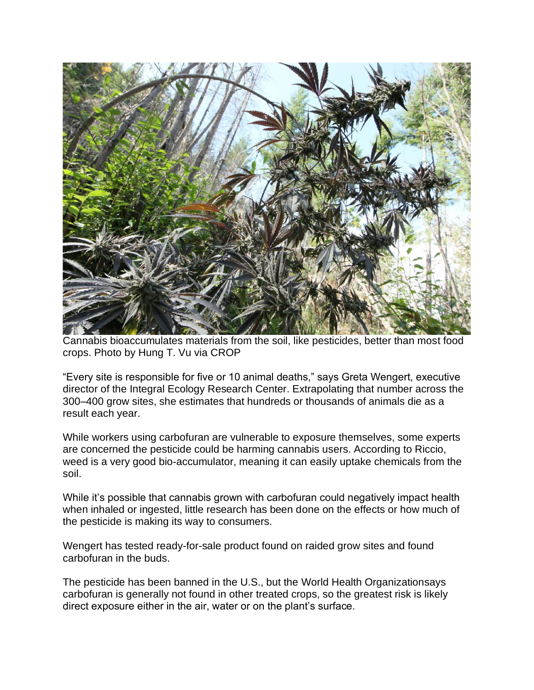

Cannabis bioaccumulates materials from the soil, like pesticides, better than most food crops. Photo by Hung T. Vu via CROP

"Every site is responsible for five or 10 animal deaths," says Greta Wengert, executive director of the [Integral Ecology Research Center.](http://www.iercecology.org/) Extrapolating that number across the 300–400 grow sites, she estimates that hundreds or thousands of animals die as a result each year.

While workers using carbofuran are vulnerable to exposure themselves, some experts are concerned the pesticide could be harming cannabis users. According to Riccio, weed is a very good bio-accumulator, meaning it can easily uptake chemicals from the soil.

While it's possible that cannabis grown with carbofuran could negatively impact health when inhaled or ingested, little research has been done on the effects or how much of the pesticide is making its way to consumers.

Wengert has tested ready-for-sale product found on raided grow sites and found carbofuran in the buds.

The pesticide has been banned in the U.S., but the [World Health Organizations](https://www.who.int/water_sanitation_health/dwq/chemicals/carbofuran.pdf)ays carbofuran is generally not found in other treated crops, so the greatest risk is likely direct exposure either in the air, water or on the plant's surface.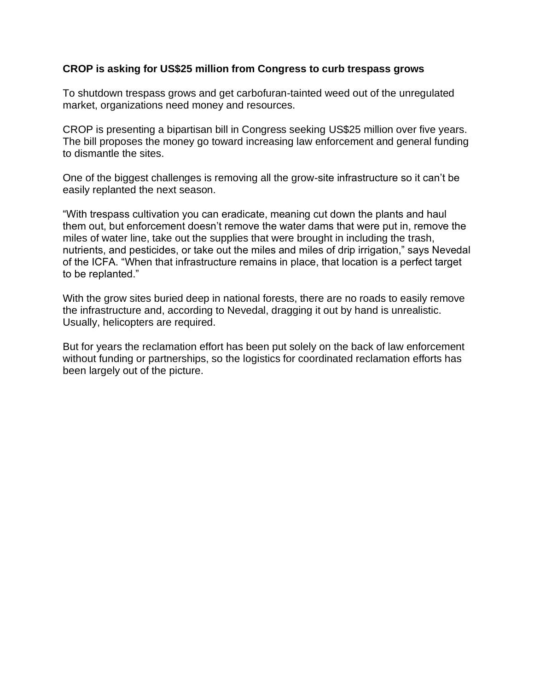## **CROP is asking for US\$25 million from Congress to curb trespass grows**

To shutdown trespass grows and get carbofuran-tainted weed out of the unregulated market, organizations need money and resources.

CROP is presenting a bipartisan bill in Congress seeking US\$25 million over five years. The bill proposes the money go toward increasing law enforcement and general funding to dismantle the sites.

One of the biggest challenges is removing all the grow-site infrastructure so it can't be easily replanted the next season.

"With trespass cultivation you can eradicate, meaning cut down the plants and haul them out, but enforcement doesn't remove the water dams that were put in, remove the miles of water line, take out the supplies that were brought in including the trash, nutrients, and pesticides, or take out the miles and miles of drip irrigation," says Nevedal of the ICFA. "When that infrastructure remains in place, that location is a perfect target to be replanted."

With the grow sites buried deep in national forests, there are no roads to easily remove the infrastructure and, according to Nevedal, dragging it out by hand is unrealistic. Usually, helicopters are required.

But for years the reclamation effort has been put solely on the back of law enforcement without funding or partnerships, so the logistics for coordinated reclamation efforts has been largely out of the picture.